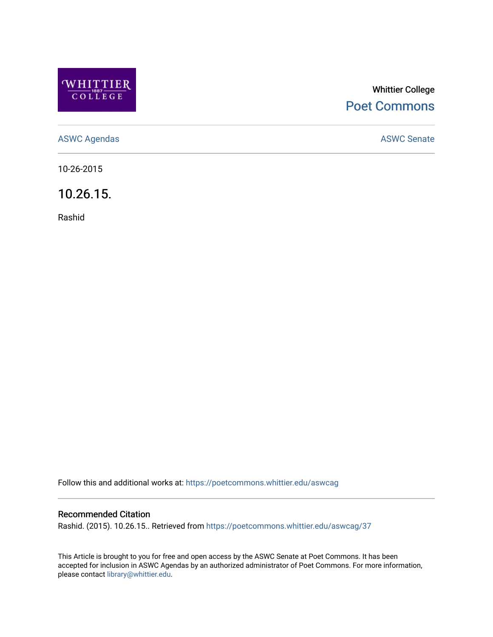

# Whittier College [Poet Commons](https://poetcommons.whittier.edu/)

[ASWC Agendas](https://poetcommons.whittier.edu/aswcag) **ASWC Senate** 

10-26-2015

10.26.15.

Rashid

Follow this and additional works at: [https://poetcommons.whittier.edu/aswcag](https://poetcommons.whittier.edu/aswcag?utm_source=poetcommons.whittier.edu%2Faswcag%2F37&utm_medium=PDF&utm_campaign=PDFCoverPages) 

## Recommended Citation

Rashid. (2015). 10.26.15.. Retrieved from [https://poetcommons.whittier.edu/aswcag/37](https://poetcommons.whittier.edu/aswcag/37?utm_source=poetcommons.whittier.edu%2Faswcag%2F37&utm_medium=PDF&utm_campaign=PDFCoverPages)

This Article is brought to you for free and open access by the ASWC Senate at Poet Commons. It has been accepted for inclusion in ASWC Agendas by an authorized administrator of Poet Commons. For more information, please contact [library@whittier.edu](mailto:library@whittier.edu).